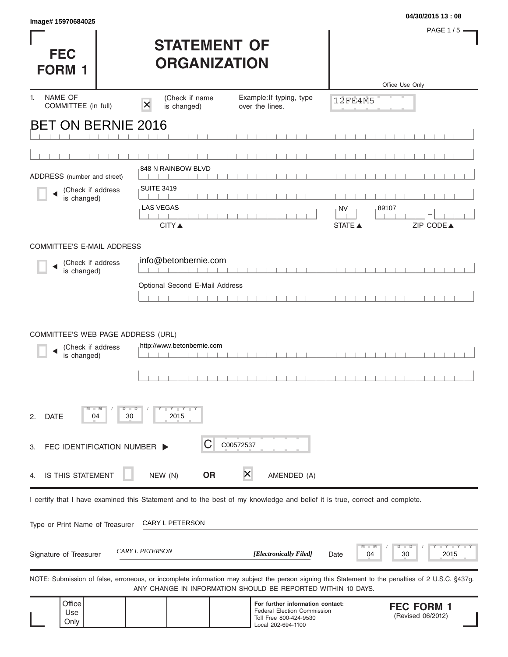| Image# 15970684025                   |                                                                                                                                                   |                                                                                                                        |                | 04/30/2015 13:08                       |
|--------------------------------------|---------------------------------------------------------------------------------------------------------------------------------------------------|------------------------------------------------------------------------------------------------------------------------|----------------|----------------------------------------|
| <b>FEC</b>                           | <b>STATEMENT OF</b><br><b>ORGANIZATION</b>                                                                                                        |                                                                                                                        |                | <b>PAGE 1/5</b>                        |
| <b>FORM</b>                          |                                                                                                                                                   |                                                                                                                        |                | Office Use Only                        |
| NAME OF<br>1.<br>COMMITTEE (in full) | (Check if name<br>$\overline{\mathsf{x}}$<br>is changed)                                                                                          | Example: If typing, type<br>over the lines.                                                                            | <b>12FE4M5</b> |                                        |
| <b>BET ON BERNIE 2016</b>            |                                                                                                                                                   |                                                                                                                        |                |                                        |
|                                      |                                                                                                                                                   |                                                                                                                        |                |                                        |
|                                      |                                                                                                                                                   |                                                                                                                        |                |                                        |
| ADDRESS (number and street)          | 848 N RAINBOW BLVD                                                                                                                                |                                                                                                                        |                |                                        |
| (Check if address<br>is changed)     | <b>SUITE 3419</b>                                                                                                                                 |                                                                                                                        |                |                                        |
|                                      | <b>LAS VEGAS</b>                                                                                                                                  |                                                                                                                        | <b>NV</b>      | 89107                                  |
|                                      | <b>CITY</b> ▲                                                                                                                                     |                                                                                                                        | STATE A        | ZIP CODE▲                              |
| COMMITTEE'S E-MAIL ADDRESS           |                                                                                                                                                   |                                                                                                                        |                |                                        |
| (Check if address<br>is changed)     | .info@betonbernie.com                                                                                                                             |                                                                                                                        |                |                                        |
|                                      | Optional Second E-Mail Address                                                                                                                    |                                                                                                                        |                |                                        |
|                                      |                                                                                                                                                   |                                                                                                                        |                |                                        |
| (Check if address<br>is changed)     | .http://www.betonbernie.com                                                                                                                       |                                                                                                                        |                |                                        |
| <b>DATE</b><br>04<br>2.              | $Y - Y - Y$<br>$\overline{D}$<br>30<br>2015                                                                                                       |                                                                                                                        |                |                                        |
| FEC IDENTIFICATION NUMBER  <br>3.    | С                                                                                                                                                 | C00572537                                                                                                              |                |                                        |
| IS THIS STATEMENT<br>4.              | NEW (N)<br><b>OR</b>                                                                                                                              | $\times$<br>AMENDED (A)                                                                                                |                |                                        |
|                                      | I certify that I have examined this Statement and to the best of my knowledge and belief it is true, correct and complete.                        |                                                                                                                        |                |                                        |
| Type or Print Name of Treasurer      | CARY L PETERSON                                                                                                                                   |                                                                                                                        |                |                                        |
| Signature of Treasurer               | <b>CARY L PETERSON</b>                                                                                                                            | [Electronically Filed]                                                                                                 | 04<br>Date     | $Y - Y$<br>D<br>ם<br>2015<br>30        |
|                                      | NOTE: Submission of false, erroneous, or incomplete information may subject the person signing this Statement to the penalties of 2 U.S.C. §437g. | ANY CHANGE IN INFORMATION SHOULD BE REPORTED WITHIN 10 DAYS.                                                           |                |                                        |
| Office<br>Use<br>Only                |                                                                                                                                                   | For further information contact:<br><b>Federal Election Commission</b><br>Toll Free 800-424-9530<br>Local 202-694-1100 |                | <b>FEC FORM 1</b><br>(Revised 06/2012) |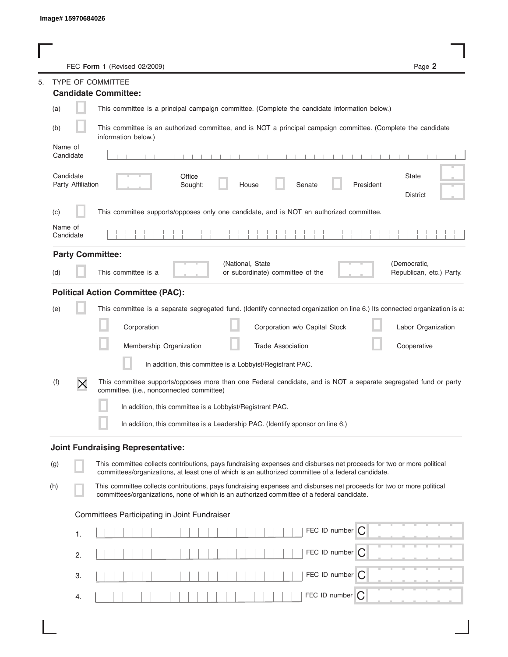|                                | FEC Form 1 (Revised 02/2009)                                                                                                                                                                                                | Page 2                                   |
|--------------------------------|-----------------------------------------------------------------------------------------------------------------------------------------------------------------------------------------------------------------------------|------------------------------------------|
|                                | <b>TYPE OF COMMITTEE</b>                                                                                                                                                                                                    |                                          |
|                                | <b>Candidate Committee:</b>                                                                                                                                                                                                 |                                          |
| (a)                            | This committee is a principal campaign committee. (Complete the candidate information below.)                                                                                                                               |                                          |
| (b)                            | This committee is an authorized committee, and is NOT a principal campaign committee. (Complete the candidate<br>information below.)                                                                                        |                                          |
| Name of<br>Candidate           | $1 - 1 - 1 - 1$                                                                                                                                                                                                             |                                          |
| Candidate<br>Party Affiliation | Office<br>Sought:<br>Senate<br>President<br>House                                                                                                                                                                           | <b>State</b><br><b>District</b>          |
| (c)                            | This committee supports/opposes only one candidate, and is NOT an authorized committee.                                                                                                                                     |                                          |
| Name of<br>Candidate           |                                                                                                                                                                                                                             |                                          |
| <b>Party Committee:</b>        |                                                                                                                                                                                                                             |                                          |
| (d)                            | (National, State<br>This committee is a<br>or subordinate) committee of the                                                                                                                                                 | (Democratic,<br>Republican, etc.) Party. |
|                                | <b>Political Action Committee (PAC):</b>                                                                                                                                                                                    |                                          |
| (e)                            | This committee is a separate segregated fund. (Identify connected organization on line 6.) Its connected organization is a:                                                                                                 |                                          |
|                                | Corporation<br>Corporation w/o Capital Stock                                                                                                                                                                                | Labor Organization                       |
|                                | Membership Organization<br><b>Trade Association</b>                                                                                                                                                                         | Cooperative                              |
|                                | In addition, this committee is a Lobbyist/Registrant PAC.                                                                                                                                                                   |                                          |
| (f)<br>$\times$                | This committee supports/opposes more than one Federal candidate, and is NOT a separate segregated fund or party<br>committee. (i.e., nonconnected committee)                                                                |                                          |
|                                | In addition, this committee is a Lobbyist/Registrant PAC.                                                                                                                                                                   |                                          |
|                                | In addition, this committee is a Leadership PAC. (Identify sponsor on line 6.)                                                                                                                                              |                                          |
|                                | <b>Joint Fundraising Representative:</b>                                                                                                                                                                                    |                                          |
| (g)                            | This committee collects contributions, pays fundraising expenses and disburses net proceeds for two or more political<br>committees/organizations, at least one of which is an authorized committee of a federal candidate. |                                          |
| (h)                            | This committee collects contributions, pays fundraising expenses and disburses net proceeds for two or more political<br>committees/organizations, none of which is an authorized committee of a federal candidate.         |                                          |
|                                | Committees Participating in Joint Fundraiser                                                                                                                                                                                |                                          |
| 1.                             | FEC ID number<br>$\subset$                                                                                                                                                                                                  |                                          |
| 2.                             | FEC ID number<br>C                                                                                                                                                                                                          |                                          |
| З.                             | FEC ID number $\bigcap$                                                                                                                                                                                                     |                                          |
| 4.                             | FEC ID number $\bigcap$                                                                                                                                                                                                     |                                          |

s,

I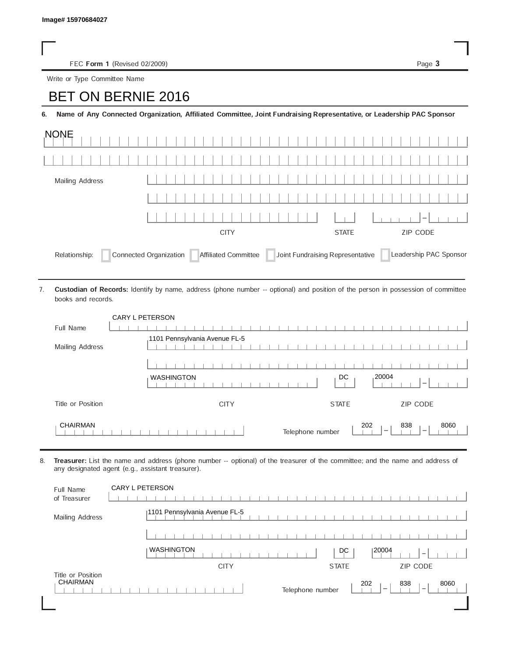## BET ON BERNIE 2016

| FEC Form 1 (Revised 02/2009)                      |                                                                                                                                  | Page 3      |
|---------------------------------------------------|----------------------------------------------------------------------------------------------------------------------------------|-------------|
| Write or Type Committee Name                      |                                                                                                                                  |             |
| <b>BET ON BERNIE 2016</b>                         |                                                                                                                                  |             |
| 6.                                                | Name of Any Connected Organization, Affiliated Committee, Joint Fundraising Representative, or Leadership PAC Sponsor            |             |
| <b>NONE</b>                                       |                                                                                                                                  |             |
|                                                   |                                                                                                                                  |             |
| <b>Mailing Address</b>                            |                                                                                                                                  |             |
|                                                   |                                                                                                                                  |             |
|                                                   |                                                                                                                                  |             |
|                                                   | <b>CITY</b><br><b>STATE</b>                                                                                                      | ZIP CODE    |
| books and records.                                | Custodian of Records: Identify by name, address (phone number -- optional) and position of the person in possession of committee |             |
| Full Name                                         | CARY L PETERSON                                                                                                                  |             |
| Mailing Address                                   | 1101 Pennsylvania Avenue FL-5                                                                                                    |             |
|                                                   |                                                                                                                                  |             |
|                                                   | 20004<br>DC<br><b>WASHINGTON</b>                                                                                                 |             |
| Title or Position                                 | <b>CITY</b><br><b>STATE</b>                                                                                                      | ZIP CODE    |
| <b>CHAIRMAN</b>                                   | 202<br>Telephone number<br>1 1 1 1 1 1 1 1                                                                                       | 838<br>8060 |
| any designated agent (e.g., assistant treasurer). | Treasurer: List the name and address (phone number -- optional) of the treasurer of the committee; and the name and address of   |             |
| Full Name<br>of Treasurer                         | CARY L PETERSON<br>.                                                                                                             | .           |
|                                                   | 1101 Pennsylvania Avenue FL-5                                                                                                    |             |

|                                                   | <b>CARY L PETERSON</b>                                                                                                         |                         |                 |
|---------------------------------------------------|--------------------------------------------------------------------------------------------------------------------------------|-------------------------|-----------------|
| Full Name                                         |                                                                                                                                |                         |                 |
| Mailing Address                                   | 1101 Pennsylvania Avenue FL-5                                                                                                  |                         |                 |
|                                                   |                                                                                                                                |                         |                 |
|                                                   | WASHINGTON                                                                                                                     | DC                      | 20004           |
| Title or Position                                 | <b>CITY</b>                                                                                                                    | <b>STATE</b>            | ZIP CODE        |
| <b>CHAIRMAN</b>                                   |                                                                                                                                | 202<br>Telephone number | 8060<br>838     |
|                                                   |                                                                                                                                |                         |                 |
| any designated agent (e.g., assistant treasurer). | Treasurer: List the name and address (phone number -- optional) of the treasurer of the committee; and the name and address of |                         |                 |
|                                                   | <b>CARY L PETERSON</b>                                                                                                         |                         |                 |
| <b>Full Name</b><br>of Treasurer                  |                                                                                                                                |                         |                 |
| Mailing Address                                   | 1101 Pennsylvania Avenue FL-5                                                                                                  |                         |                 |
|                                                   |                                                                                                                                |                         |                 |
|                                                   | <b>WASHINGTON</b>                                                                                                              | DC                      | 120004          |
| Title or Position                                 | <b>CITY</b>                                                                                                                    | <b>STATE</b>            | <b>ZIP CODE</b> |

|                                      | <b>WASHINGTON</b>                                                                                                                                                                   | 20004<br>DC                                         |             |
|--------------------------------------|-------------------------------------------------------------------------------------------------------------------------------------------------------------------------------------|-----------------------------------------------------|-------------|
| Title or Position                    | <b>CITY</b>                                                                                                                                                                         | <b>STATE</b>                                        | ZIP CODE    |
| <b>CHAIRMAN</b>                      |                                                                                                                                                                                     | 202<br>Telephone number                             | 838<br>8060 |
|                                      | Treasurer: List the name and address (phone number -- optional) of the treasurer of the committee; and the name and address of<br>any designated agent (e.g., assistant treasurer). |                                                     |             |
| Full Name                            | CARY L PETERSON                                                                                                                                                                     |                                                     |             |
| of Treasurer                         |                                                                                                                                                                                     |                                                     |             |
| Mailing Address                      | 1101 Pennsylvania Avenue FL-5                                                                                                                                                       |                                                     |             |
|                                      |                                                                                                                                                                                     |                                                     |             |
|                                      | <b>WASHINGTON</b>                                                                                                                                                                   | 20004<br>DC                                         |             |
|                                      | <b>CITY</b>                                                                                                                                                                         | <b>STATE</b>                                        | ZIP CODE    |
| Title or Position<br><b>CHAIRMAN</b> |                                                                                                                                                                                     | 202<br>Telephone number<br>$\overline{\phantom{0}}$ | 838<br>8060 |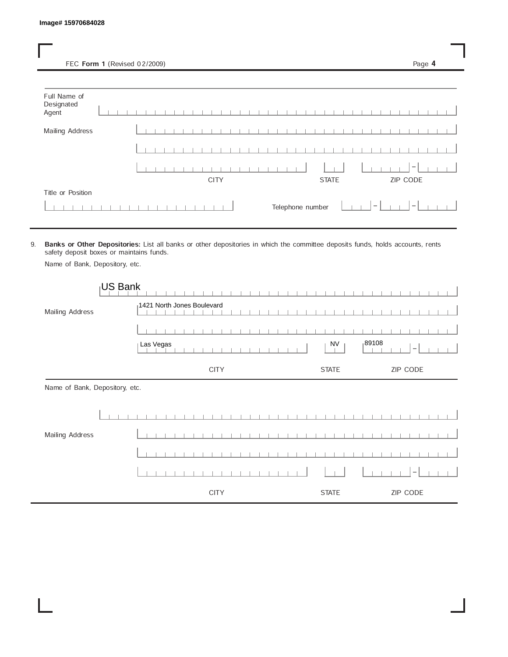| lmage# 15970684028                                                         |                                                                                                                                |              |       |              |  |
|----------------------------------------------------------------------------|--------------------------------------------------------------------------------------------------------------------------------|--------------|-------|--------------|--|
| FEC Form 1 (Revised 02/2009)                                               |                                                                                                                                |              |       | Page 4       |  |
|                                                                            |                                                                                                                                |              |       |              |  |
| Full Name of<br>Designated<br>Agent                                        |                                                                                                                                |              |       |              |  |
| <b>Mailing Address</b>                                                     |                                                                                                                                |              |       |              |  |
|                                                                            |                                                                                                                                |              |       |              |  |
|                                                                            | <b>CITY</b>                                                                                                                    | <b>STATE</b> |       | ZIP CODE     |  |
| Title or Position                                                          |                                                                                                                                |              |       |              |  |
|                                                                            | Telephone number                                                                                                               |              |       |              |  |
| safety deposit boxes or maintains funds.<br>Name of Bank, Depository, etc. | Banks or Other Depositories: List all banks or other depositories in which the committee deposits funds, holds accounts, rents |              |       |              |  |
| US Bank                                                                    |                                                                                                                                |              |       |              |  |
| Mailing Address                                                            | 1421 North Jones Boulevard                                                                                                     |              |       |              |  |
|                                                                            |                                                                                                                                |              |       |              |  |
|                                                                            | $\vert$ $\vert$ NV<br>Las Vegas                                                                                                |              | 89108 | $\mathbf{I}$ |  |

|                                | <b>IUS Bank</b>            |              |                                    |
|--------------------------------|----------------------------|--------------|------------------------------------|
| Mailing Address                | 1421 North Jones Boulevard |              |                                    |
|                                |                            |              |                                    |
|                                | Las Vegas                  | <b>NV</b>    | 189108<br>$\overline{\phantom{a}}$ |
|                                | <b>CITY</b>                | <b>STATE</b> | ZIP CODE                           |
| Name of Bank, Depository, etc. |                            |              |                                    |
|                                |                            |              |                                    |
| Mailing Address                |                            |              |                                    |
|                                |                            |              |                                    |
|                                |                            |              |                                    |
|                                | <b>CITY</b>                | <b>STATE</b> | ZIP CODE                           |